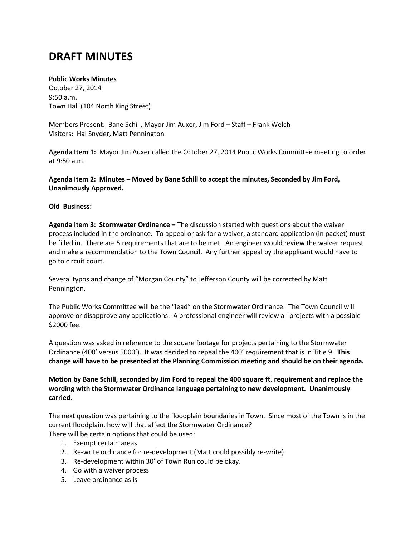## **DRAFT MINUTES**

## **Public Works Minutes**

October 27, 2014 9:50 a.m. Town Hall (104 North King Street)

Members Present: Bane Schill, Mayor Jim Auxer, Jim Ford – Staff – Frank Welch Visitors: Hal Snyder, Matt Pennington

**Agenda Item 1:** Mayor Jim Auxer called the October 27, 2014 Public Works Committee meeting to order at 9:50 a.m.

**Agenda Item 2: Minutes** – **Moved by Bane Schill to accept the minutes, Seconded by Jim Ford, Unanimously Approved.**

## **Old Business:**

**Agenda Item 3: Stormwater Ordinance –** The discussion started with questions about the waiver process included in the ordinance. To appeal or ask for a waiver, a standard application (in packet) must be filled in. There are 5 requirements that are to be met. An engineer would review the waiver request and make a recommendation to the Town Council. Any further appeal by the applicant would have to go to circuit court.

Several typos and change of "Morgan County" to Jefferson County will be corrected by Matt Pennington.

The Public Works Committee will be the "lead" on the Stormwater Ordinance. The Town Council will approve or disapprove any applications. A professional engineer will review all projects with a possible \$2000 fee.

A question was asked in reference to the square footage for projects pertaining to the Stormwater Ordinance (400' versus 5000'). It was decided to repeal the 400' requirement that is in Title 9. **This change will have to be presented at the Planning Commission meeting and should be on their agenda.**

**Motion by Bane Schill, seconded by Jim Ford to repeal the 400 square ft. requirement and replace the wording with the Stormwater Ordinance language pertaining to new development. Unanimously carried.**

The next question was pertaining to the floodplain boundaries in Town. Since most of the Town is in the current floodplain, how will that affect the Stormwater Ordinance? There will be certain options that could be used:

- 1. Exempt certain areas
- 2. Re-write ordinance for re-development (Matt could possibly re-write)
- 3. Re-development within 30' of Town Run could be okay.
- 4. Go with a waiver process
- 5. Leave ordinance as is